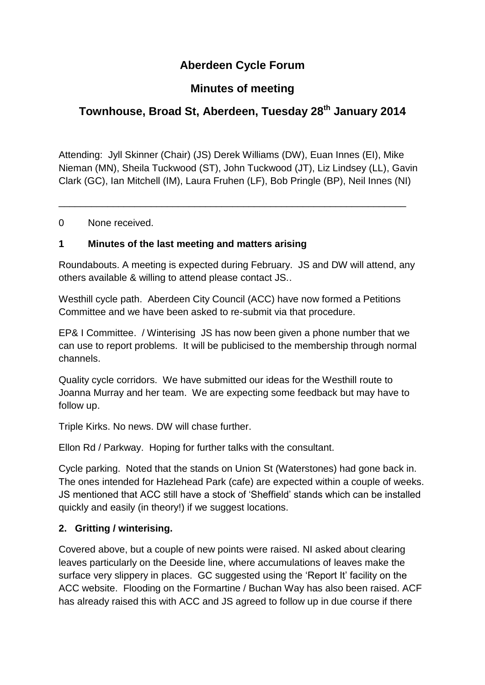# **Aberdeen Cycle Forum**

# **Minutes of meeting**

# **Townhouse, Broad St, Aberdeen, Tuesday 28th January 2014**

Attending: Jyll Skinner (Chair) (JS) Derek Williams (DW), Euan Innes (EI), Mike Nieman (MN), Sheila Tuckwood (ST), John Tuckwood (JT), Liz Lindsey (LL), Gavin Clark (GC), Ian Mitchell (IM), Laura Fruhen (LF), Bob Pringle (BP), Neil Innes (NI)

\_\_\_\_\_\_\_\_\_\_\_\_\_\_\_\_\_\_\_\_\_\_\_\_\_\_\_\_\_\_\_\_\_\_\_\_\_\_\_\_\_\_\_\_\_\_\_\_\_\_\_\_\_\_\_\_\_\_\_\_\_\_\_\_

0 None received.

#### **1 Minutes of the last meeting and matters arising**

Roundabouts. A meeting is expected during February. JS and DW will attend, any others available & willing to attend please contact JS..

Westhill cycle path. Aberdeen City Council (ACC) have now formed a Petitions Committee and we have been asked to re-submit via that procedure.

EP& I Committee. / Winterising JS has now been given a phone number that we can use to report problems. It will be publicised to the membership through normal channels.

Quality cycle corridors. We have submitted our ideas for the Westhill route to Joanna Murray and her team. We are expecting some feedback but may have to follow up.

Triple Kirks. No news. DW will chase further.

Ellon Rd / Parkway. Hoping for further talks with the consultant.

Cycle parking. Noted that the stands on Union St (Waterstones) had gone back in. The ones intended for Hazlehead Park (cafe) are expected within a couple of weeks. JS mentioned that ACC still have a stock of 'Sheffield' stands which can be installed quickly and easily (in theory!) if we suggest locations.

#### **2. Gritting / winterising.**

Covered above, but a couple of new points were raised. NI asked about clearing leaves particularly on the Deeside line, where accumulations of leaves make the surface very slippery in places. GC suggested using the 'Report It' facility on the ACC website. Flooding on the Formartine / Buchan Way has also been raised. ACF has already raised this with ACC and JS agreed to follow up in due course if there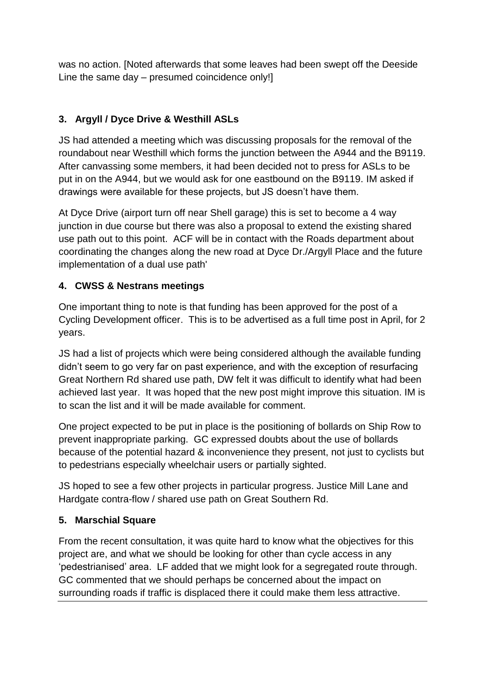was no action. [Noted afterwards that some leaves had been swept off the Deeside Line the same day – presumed coincidence only!]

### **3. Argyll / Dyce Drive & Westhill ASLs**

JS had attended a meeting which was discussing proposals for the removal of the roundabout near Westhill which forms the junction between the A944 and the B9119. After canvassing some members, it had been decided not to press for ASLs to be put in on the A944, but we would ask for one eastbound on the B9119. IM asked if drawings were available for these projects, but JS doesn't have them.

At Dyce Drive (airport turn off near Shell garage) this is set to become a 4 way junction in due course but there was also a proposal to extend the existing shared use path out to this point. ACF will be in contact with the Roads department about coordinating the changes along the new road at Dyce Dr./Argyll Place and the future implementation of a dual use path'

#### **4. CWSS & Nestrans meetings**

One important thing to note is that funding has been approved for the post of a Cycling Development officer. This is to be advertised as a full time post in April, for 2 years.

JS had a list of projects which were being considered although the available funding didn't seem to go very far on past experience, and with the exception of resurfacing Great Northern Rd shared use path, DW felt it was difficult to identify what had been achieved last year. It was hoped that the new post might improve this situation. IM is to scan the list and it will be made available for comment.

One project expected to be put in place is the positioning of bollards on Ship Row to prevent inappropriate parking. GC expressed doubts about the use of bollards because of the potential hazard & inconvenience they present, not just to cyclists but to pedestrians especially wheelchair users or partially sighted.

JS hoped to see a few other projects in particular progress. Justice Mill Lane and Hardgate contra-flow / shared use path on Great Southern Rd.

### **5. Marschial Square**

From the recent consultation, it was quite hard to know what the objectives for this project are, and what we should be looking for other than cycle access in any 'pedestrianised' area. LF added that we might look for a segregated route through. GC commented that we should perhaps be concerned about the impact on surrounding roads if traffic is displaced there it could make them less attractive.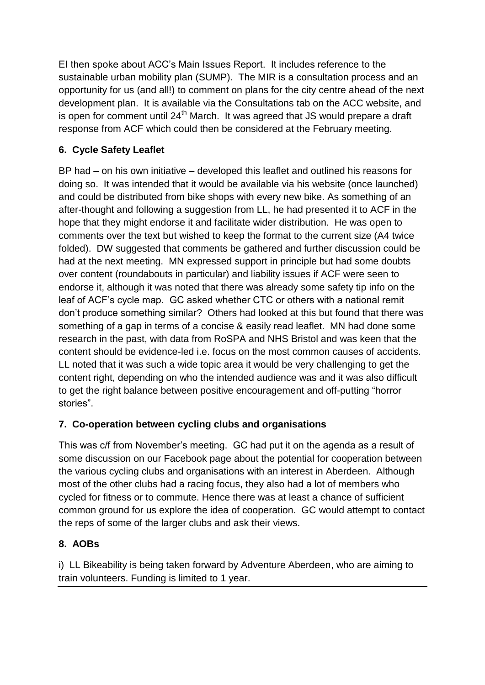EI then spoke about ACC's Main Issues Report. It includes reference to the sustainable urban mobility plan (SUMP). The MIR is a consultation process and an opportunity for us (and all!) to comment on plans for the city centre ahead of the next development plan. It is available via the Consultations tab on the ACC website, and is open for comment until  $24<sup>th</sup>$  March. It was agreed that JS would prepare a draft response from ACF which could then be considered at the February meeting.

### **6. Cycle Safety Leaflet**

BP had – on his own initiative – developed this leaflet and outlined his reasons for doing so. It was intended that it would be available via his website (once launched) and could be distributed from bike shops with every new bike. As something of an after-thought and following a suggestion from LL, he had presented it to ACF in the hope that they might endorse it and facilitate wider distribution. He was open to comments over the text but wished to keep the format to the current size (A4 twice folded). DW suggested that comments be gathered and further discussion could be had at the next meeting. MN expressed support in principle but had some doubts over content (roundabouts in particular) and liability issues if ACF were seen to endorse it, although it was noted that there was already some safety tip info on the leaf of ACF's cycle map. GC asked whether CTC or others with a national remit don't produce something similar? Others had looked at this but found that there was something of a gap in terms of a concise & easily read leaflet. MN had done some research in the past, with data from RoSPA and NHS Bristol and was keen that the content should be evidence-led i.e. focus on the most common causes of accidents. LL noted that it was such a wide topic area it would be very challenging to get the content right, depending on who the intended audience was and it was also difficult to get the right balance between positive encouragement and off-putting "horror stories".

### **7. Co-operation between cycling clubs and organisations**

This was c/f from November's meeting. GC had put it on the agenda as a result of some discussion on our Facebook page about the potential for cooperation between the various cycling clubs and organisations with an interest in Aberdeen. Although most of the other clubs had a racing focus, they also had a lot of members who cycled for fitness or to commute. Hence there was at least a chance of sufficient common ground for us explore the idea of cooperation. GC would attempt to contact the reps of some of the larger clubs and ask their views.

#### **8. AOBs**

i) LL Bikeability is being taken forward by Adventure Aberdeen, who are aiming to train volunteers. Funding is limited to 1 year.